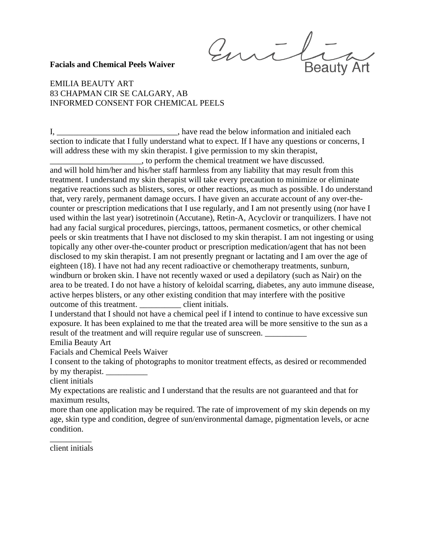Emil **Beauty Art** 

## **Facials and Chemical Peels Waiver**

## EMILIA BEAUTY ART 83 CHAPMAN CIR SE CALGARY, AB INFORMED CONSENT FOR CHEMICAL PEELS

I, *\_\_\_\_\_\_\_\_\_\_\_\_\_\_\_\_\_\_\_\_\_\_\_\_\_\_\_\_\_*, have read the below information and initialed each section to indicate that I fully understand what to expect. If I have any questions or concerns, I will address these with my skin therapist. I give permission to my skin therapist,

*\_\_\_\_\_\_\_\_\_\_\_\_\_\_\_\_\_\_\_\_\_\_*, to perform the chemical treatment we have discussed. and will hold him/her and his/her staff harmless from any liability that may result from this treatment. I understand my skin therapist will take every precaution to minimize or eliminate negative reactions such as blisters, sores, or other reactions, as much as possible. I do understand that, very rarely, permanent damage occurs. I have given an accurate account of any over-thecounter or prescription medications that I use regularly, and I am not presently using (nor have I used within the last year) isotretinoin (Accutane), Retin-A, Acyclovir or tranquilizers. I have not had any facial surgical procedures, piercings, tattoos, permanent cosmetics, or other chemical peels or skin treatments that I have not disclosed to my skin therapist. I am not ingesting or using topically any other over-the-counter product or prescription medication/agent that has not been disclosed to my skin therapist. I am not presently pregnant or lactating and I am over the age of eighteen (18). I have not had any recent radioactive or chemotherapy treatments, sunburn, windburn or broken skin. I have not recently waxed or used a depilatory (such as Nair) on the area to be treated. I do not have a history of keloidal scarring, diabetes, any auto immune disease, active herpes blisters, or any other existing condition that may interfere with the positive outcome of this treatment. *\_\_\_\_\_\_\_\_\_\_* client initials.

I understand that I should not have a chemical peel if I intend to continue to have excessive sun exposure. It has been explained to me that the treated area will be more sensitive to the sun as a result of the treatment and will require regular use of sunscreen. *\_\_\_\_\_\_\_\_\_\_*

Emilia Beauty Art

Facials and Chemical Peels Waiver

I consent to the taking of photographs to monitor treatment effects, as desired or recommended by my therapist. *\_\_\_\_\_\_\_\_\_\_*

client initials

My expectations are realistic and I understand that the results are not guaranteed and that for maximum results,

more than one application may be required. The rate of improvement of my skin depends on my age, skin type and condition, degree of sun/environmental damage, pigmentation levels, or acne condition.

*\_\_\_\_\_\_\_\_\_\_* client initials